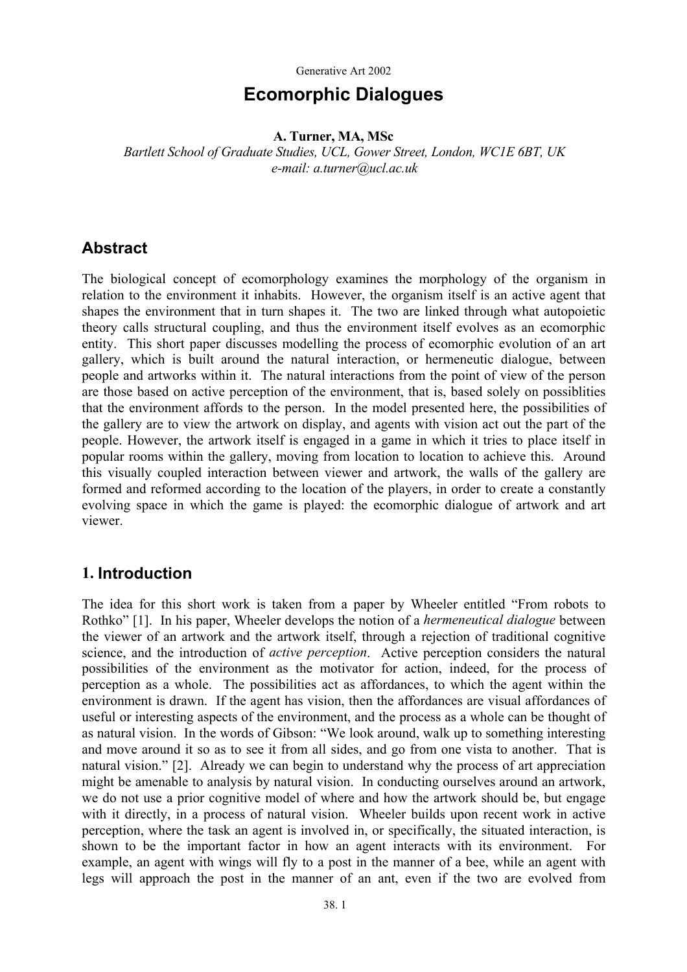# **Ecomorphic Dialogues**

### **A. Turner, MA, MSc**

*Bartlett School of Graduate Studies, UCL, Gower Street, London, WC1E 6BT, UK e-mail: a.turner@ucl.ac.uk* 

## **Abstract**

The biological concept of ecomorphology examines the morphology of the organism in relation to the environment it inhabits. However, the organism itself is an active agent that shapes the environment that in turn shapes it. The two are linked through what autopoietic theory calls structural coupling, and thus the environment itself evolves as an ecomorphic entity. This short paper discusses modelling the process of ecomorphic evolution of an art gallery, which is built around the natural interaction, or hermeneutic dialogue, between people and artworks within it. The natural interactions from the point of view of the person are those based on active perception of the environment, that is, based solely on possiblities that the environment affords to the person. In the model presented here, the possibilities of the gallery are to view the artwork on display, and agents with vision act out the part of the people. However, the artwork itself is engaged in a game in which it tries to place itself in popular rooms within the gallery, moving from location to location to achieve this. Around this visually coupled interaction between viewer and artwork, the walls of the gallery are formed and reformed according to the location of the players, in order to create a constantly evolving space in which the game is played: the ecomorphic dialogue of artwork and art viewer.

### **1. Introduction**

The idea for this short work is taken from a paper by Wheeler entitled "From robots to Rothko" [1]. In his paper, Wheeler develops the notion of a *hermeneutical dialogue* between the viewer of an artwork and the artwork itself, through a rejection of traditional cognitive science, and the introduction of *active perception*. Active perception considers the natural possibilities of the environment as the motivator for action, indeed, for the process of perception as a whole. The possibilities act as affordances, to which the agent within the environment is drawn. If the agent has vision, then the affordances are visual affordances of useful or interesting aspects of the environment, and the process as a whole can be thought of as natural vision. In the words of Gibson: "We look around, walk up to something interesting and move around it so as to see it from all sides, and go from one vista to another. That is natural vision." [2]. Already we can begin to understand why the process of art appreciation might be amenable to analysis by natural vision. In conducting ourselves around an artwork, we do not use a prior cognitive model of where and how the artwork should be, but engage with it directly, in a process of natural vision. Wheeler builds upon recent work in active perception, where the task an agent is involved in, or specifically, the situated interaction, is shown to be the important factor in how an agent interacts with its environment. For example, an agent with wings will fly to a post in the manner of a bee, while an agent with legs will approach the post in the manner of an ant, even if the two are evolved from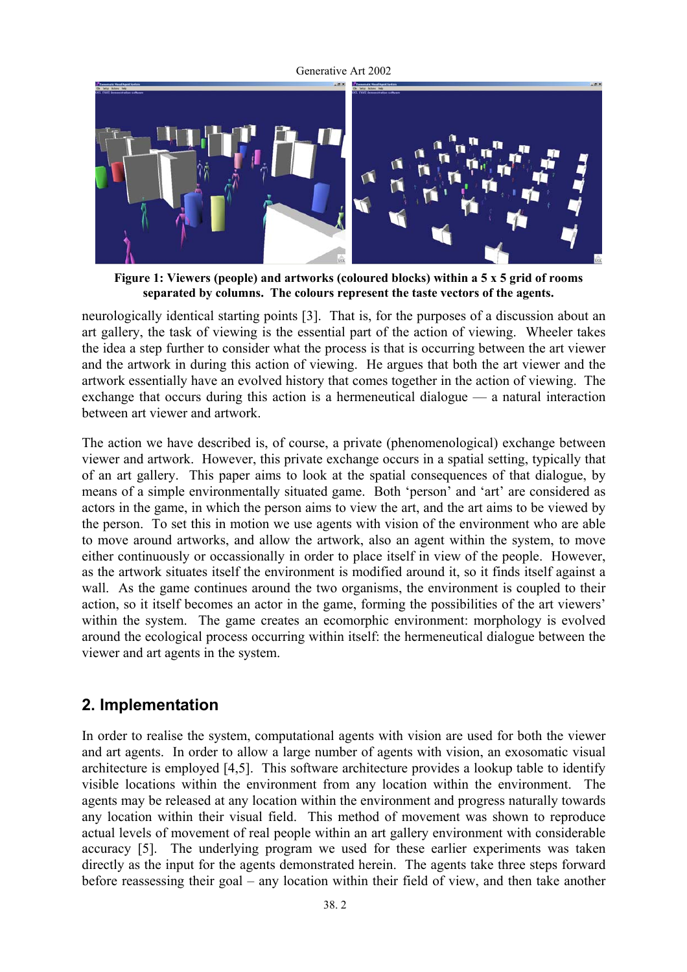

**Figure 1: Viewers (people) and artworks (coloured blocks) within a 5 x 5 grid of rooms separated by columns. The colours represent the taste vectors of the agents.** 

neurologically identical starting points [3]. That is, for the purposes of a discussion about an art gallery, the task of viewing is the essential part of the action of viewing. Wheeler takes the idea a step further to consider what the process is that is occurring between the art viewer and the artwork in during this action of viewing. He argues that both the art viewer and the artwork essentially have an evolved history that comes together in the action of viewing. The exchange that occurs during this action is a hermeneutical dialogue — a natural interaction between art viewer and artwork.

The action we have described is, of course, a private (phenomenological) exchange between viewer and artwork. However, this private exchange occurs in a spatial setting, typically that of an art gallery. This paper aims to look at the spatial consequences of that dialogue, by means of a simple environmentally situated game. Both 'person' and 'art' are considered as actors in the game, in which the person aims to view the art, and the art aims to be viewed by the person. To set this in motion we use agents with vision of the environment who are able to move around artworks, and allow the artwork, also an agent within the system, to move either continuously or occassionally in order to place itself in view of the people. However, as the artwork situates itself the environment is modified around it, so it finds itself against a wall. As the game continues around the two organisms, the environment is coupled to their action, so it itself becomes an actor in the game, forming the possibilities of the art viewers' within the system. The game creates an ecomorphic environment: morphology is evolved around the ecological process occurring within itself: the hermeneutical dialogue between the viewer and art agents in the system.

## **2. Implementation**

In order to realise the system, computational agents with vision are used for both the viewer and art agents. In order to allow a large number of agents with vision, an exosomatic visual architecture is employed [4,5]. This software architecture provides a lookup table to identify visible locations within the environment from any location within the environment. The agents may be released at any location within the environment and progress naturally towards any location within their visual field. This method of movement was shown to reproduce actual levels of movement of real people within an art gallery environment with considerable accuracy [5]. The underlying program we used for these earlier experiments was taken directly as the input for the agents demonstrated herein. The agents take three steps forward before reassessing their goal – any location within their field of view, and then take another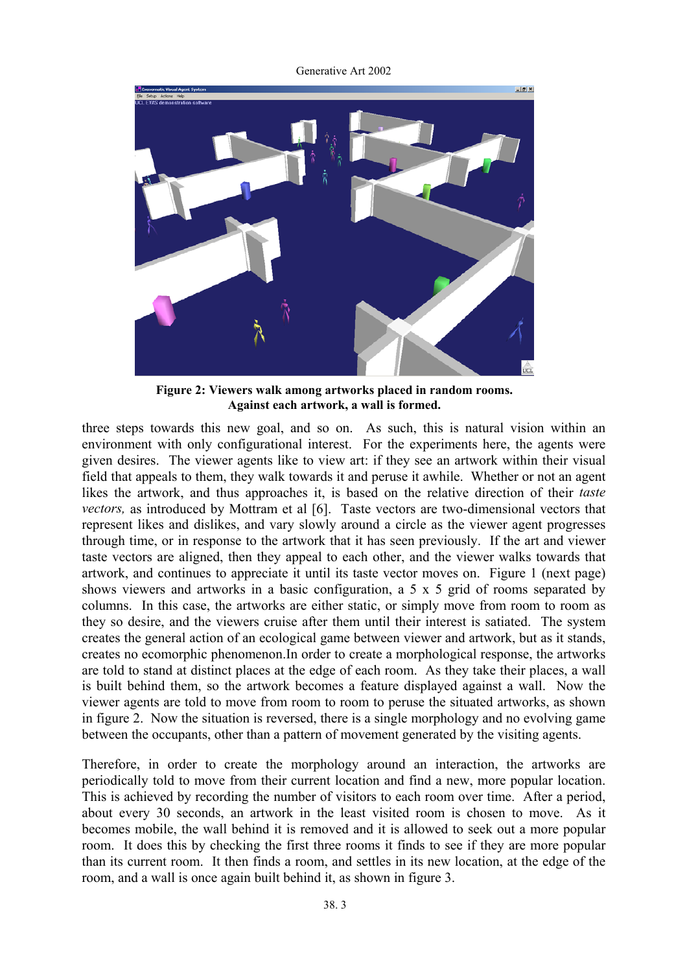Generative Art 2002



**Figure 2: Viewers walk among artworks placed in random rooms. Against each artwork, a wall is formed.** 

three steps towards this new goal, and so on. As such, this is natural vision within an environment with only configurational interest. For the experiments here, the agents were given desires. The viewer agents like to view art: if they see an artwork within their visual field that appeals to them, they walk towards it and peruse it awhile. Whether or not an agent likes the artwork, and thus approaches it, is based on the relative direction of their *taste vectors*, as introduced by Mottram et al [6]. Taste vectors are two-dimensional vectors that represent likes and dislikes, and vary slowly around a circle as the viewer agent progresses through time, or in response to the artwork that it has seen previously. If the art and viewer taste vectors are aligned, then they appeal to each other, and the viewer walks towards that artwork, and continues to appreciate it until its taste vector moves on. Figure 1 (next page) shows viewers and artworks in a basic configuration, a 5 x 5 grid of rooms separated by columns. In this case, the artworks are either static, or simply move from room to room as they so desire, and the viewers cruise after them until their interest is satiated. The system creates the general action of an ecological game between viewer and artwork, but as it stands, creates no ecomorphic phenomenon.In order to create a morphological response, the artworks are told to stand at distinct places at the edge of each room. As they take their places, a wall is built behind them, so the artwork becomes a feature displayed against a wall. Now the viewer agents are told to move from room to room to peruse the situated artworks, as shown in figure 2. Now the situation is reversed, there is a single morphology and no evolving game between the occupants, other than a pattern of movement generated by the visiting agents.

Therefore, in order to create the morphology around an interaction, the artworks are periodically told to move from their current location and find a new, more popular location. This is achieved by recording the number of visitors to each room over time. After a period, about every 30 seconds, an artwork in the least visited room is chosen to move. As it becomes mobile, the wall behind it is removed and it is allowed to seek out a more popular room. It does this by checking the first three rooms it finds to see if they are more popular than its current room. It then finds a room, and settles in its new location, at the edge of the room, and a wall is once again built behind it, as shown in figure 3.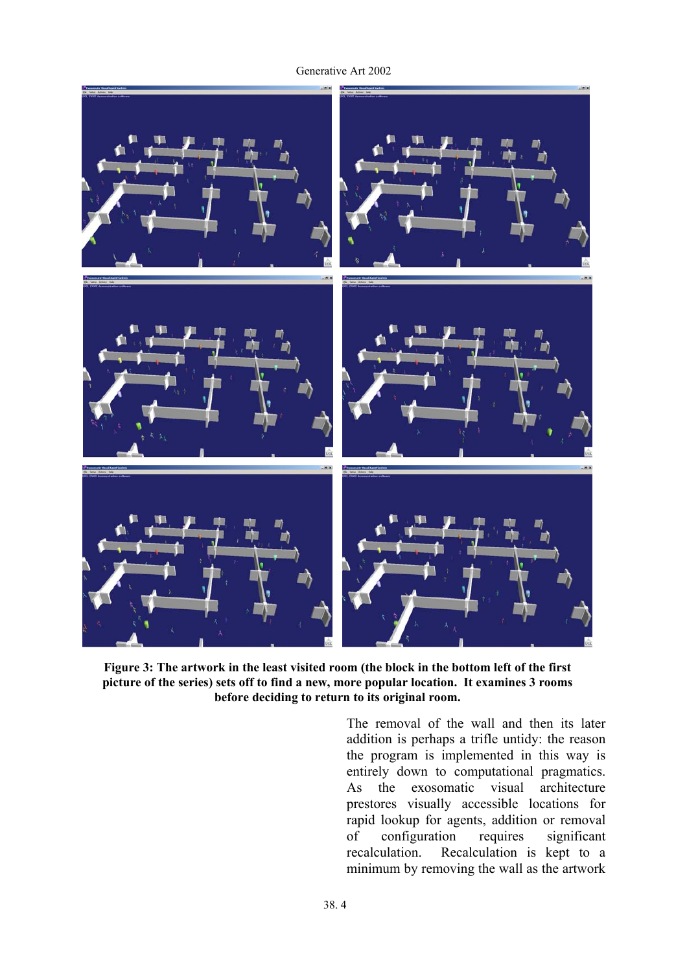

**Figure 3: The artwork in the least visited room (the block in the bottom left of the first picture of the series) sets off to find a new, more popular location. It examines 3 rooms before deciding to return to its original room.** 

The removal of the wall and then its later addition is perhaps a trifle untidy: the reason the program is implemented in this way is entirely down to computational pragmatics. As the exosomatic visual architecture prestores visually accessible locations for rapid lookup for agents, addition or removal of configuration requires significant recalculation. Recalculation is kept to a minimum by removing the wall as the artwork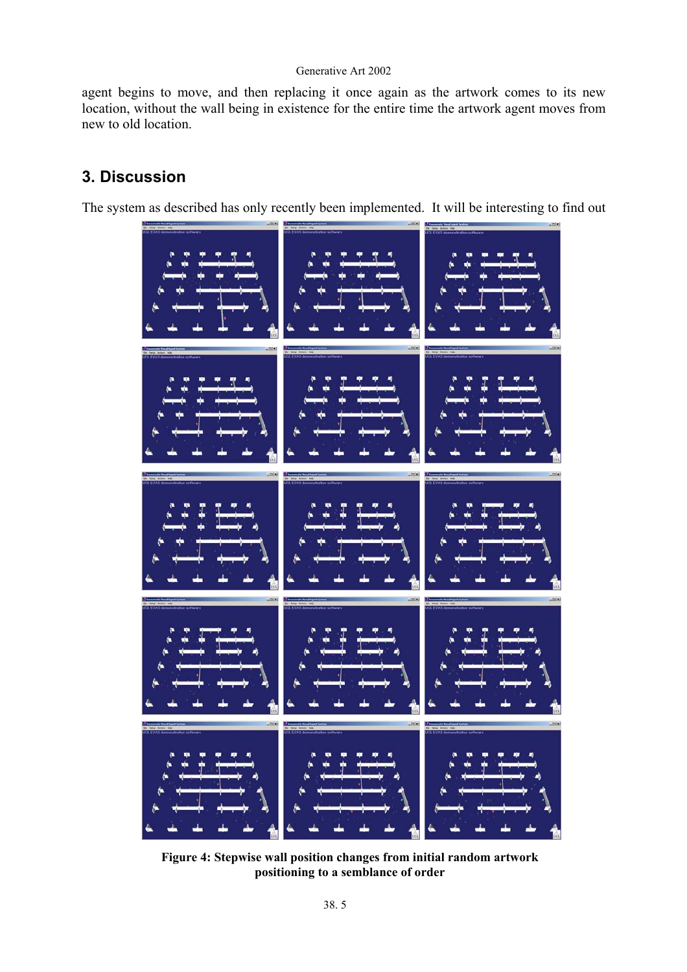agent begins to move, and then replacing it once again as the artwork comes to its new location, without the wall being in existence for the entire time the artwork agent moves from new to old location.

# **3. Discussion**

The system as described has only recently been implemented. It will be interesting to find out



**Figure 4: Stepwise wall position changes from initial random artwork positioning to a semblance of order**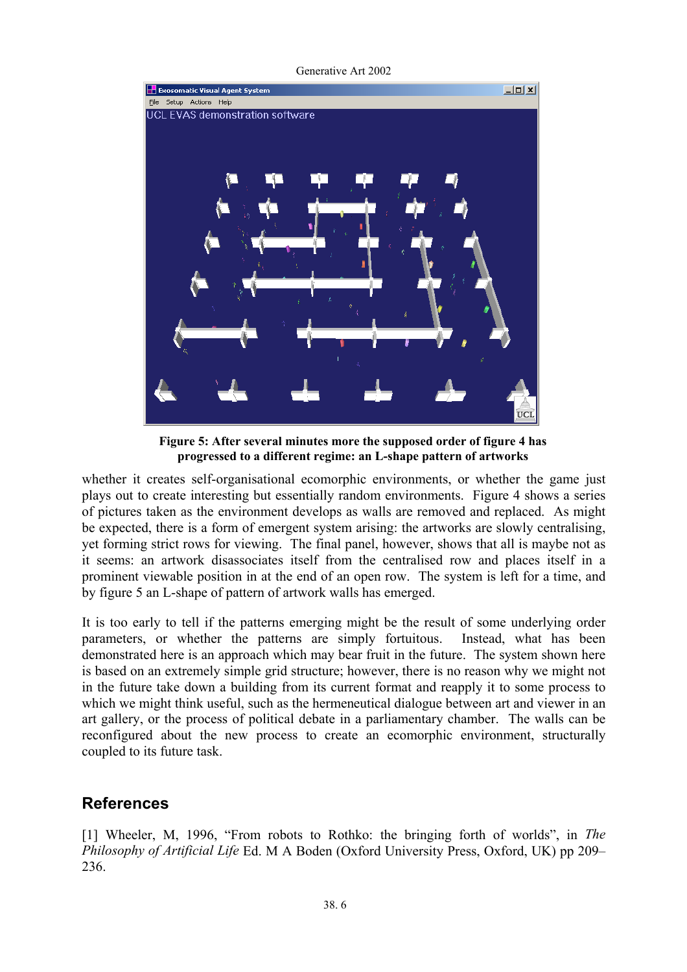Generative Art 2002



**Figure 5: After several minutes more the supposed order of figure 4 has progressed to a different regime: an L-shape pattern of artworks** 

whether it creates self-organisational ecomorphic environments, or whether the game just plays out to create interesting but essentially random environments. Figure 4 shows a series of pictures taken as the environment develops as walls are removed and replaced. As might be expected, there is a form of emergent system arising: the artworks are slowly centralising, yet forming strict rows for viewing. The final panel, however, shows that all is maybe not as it seems: an artwork disassociates itself from the centralised row and places itself in a prominent viewable position in at the end of an open row. The system is left for a time, and by figure 5 an L-shape of pattern of artwork walls has emerged.

It is too early to tell if the patterns emerging might be the result of some underlying order parameters, or whether the patterns are simply fortuitous. Instead, what has been demonstrated here is an approach which may bear fruit in the future. The system shown here is based on an extremely simple grid structure; however, there is no reason why we might not in the future take down a building from its current format and reapply it to some process to which we might think useful, such as the hermeneutical dialogue between art and viewer in an art gallery, or the process of political debate in a parliamentary chamber. The walls can be reconfigured about the new process to create an ecomorphic environment, structurally coupled to its future task.

# **References**

[1] Wheeler, M, 1996, "From robots to Rothko: the bringing forth of worlds", in *The Philosophy of Artificial Life* Ed. M A Boden (Oxford University Press, Oxford, UK) pp 209– 236.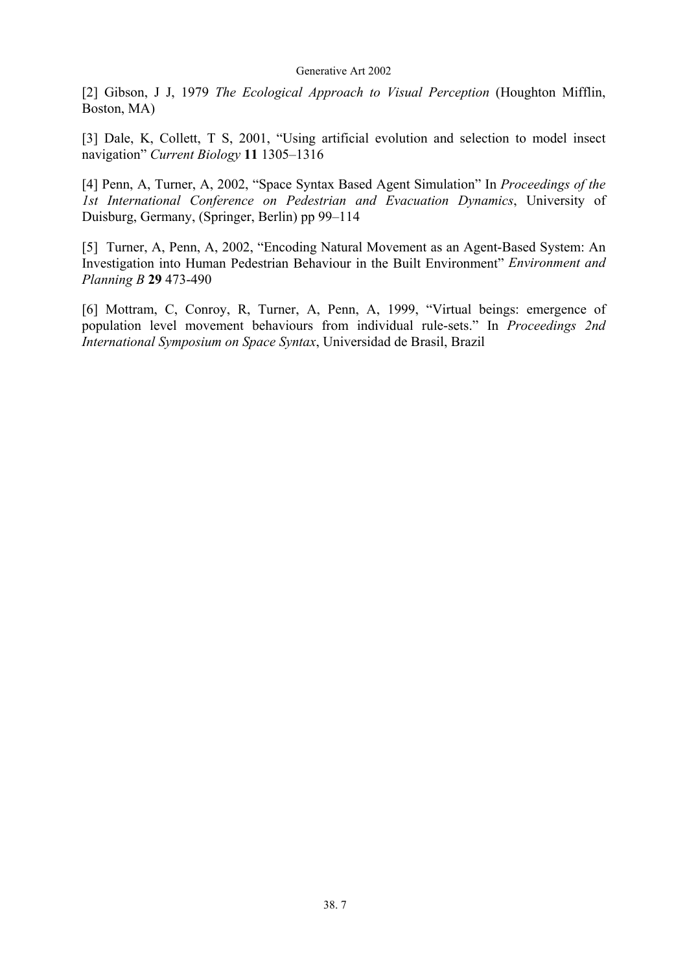[2] Gibson, J J, 1979 *The Ecological Approach to Visual Perception* (Houghton Mifflin, Boston, MA)

[3] Dale, K, Collett, T S, 2001, "Using artificial evolution and selection to model insect navigation" *Current Biology* **11** 1305–1316

[4] Penn, A, Turner, A, 2002, "Space Syntax Based Agent Simulation" In *Proceedings of the 1st International Conference on Pedestrian and Evacuation Dynamics*, University of Duisburg, Germany, (Springer, Berlin) pp 99–114

[5] Turner, A, Penn, A, 2002, "Encoding Natural Movement as an Agent-Based System: An Investigation into Human Pedestrian Behaviour in the Built Environment" *Environment and Planning B* **29** 473-490

[6] Mottram, C, Conroy, R, Turner, A, Penn, A, 1999, "Virtual beings: emergence of population level movement behaviours from individual rule-sets." In *Proceedings 2nd International Symposium on Space Syntax*, Universidad de Brasil, Brazil